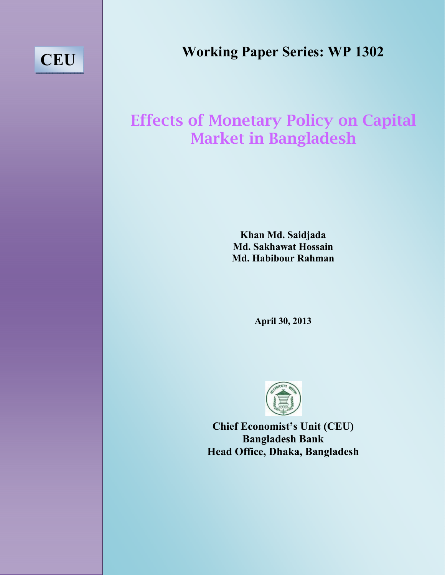# **CEU**

# Effects of Monetary Policy on Capital Market in Bangladesh

**January 14, 2013 <sup>14</sup>, 2013 Khan Md. Saidjada Md. Sakhawat Hossain Md. Habibour Rahman** 

**April 30, 2013** 



**Chief Economist's Unit (CEU) Bangladesh Bank Head Office, Dhaka, Bangladesh**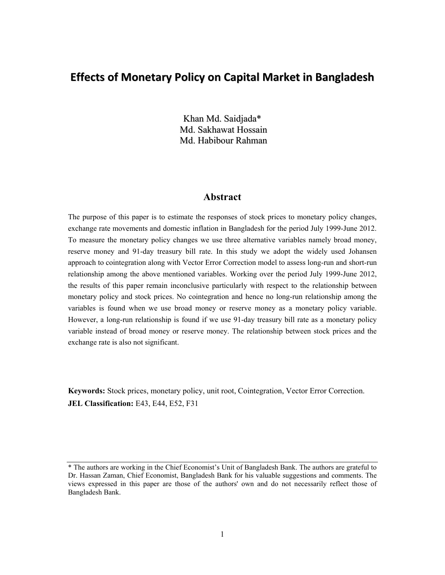# **Effects of Monetary Policy on Capital Market in Bangladesh**

Khan Md. Saidjada\* Md. Sakhawat Hossain Md. Habibour Rahman

### **Abstract**

The purpose of this paper is to estimate the responses of stock prices to monetary policy changes, exchange rate movements and domestic inflation in Bangladesh for the period July 1999-June 2012. To measure the monetary policy changes we use three alternative variables namely broad money, reserve money and 91-day treasury bill rate. In this study we adopt the widely used Johansen approach to cointegration along with Vector Error Correction model to assess long-run and short-run relationship among the above mentioned variables. Working over the period July 1999-June 2012, the results of this paper remain inconclusive particularly with respect to the relationship between monetary policy and stock prices. No cointegration and hence no long-run relationship among the variables is found when we use broad money or reserve money as a monetary policy variable. However, a long-run relationship is found if we use 91-day treasury bill rate as a monetary policy variable instead of broad money or reserve money. The relationship between stock prices and the exchange rate is also not significant.

**Keywords:** Stock prices, monetary policy, unit root, Cointegration, Vector Error Correction. **JEL Classification:** E43, E44, E52, F31

<sup>\*</sup> The authors are working in the Chief Economist's Unit of Bangladesh Bank. The authors are grateful to Dr. Hassan Zaman, Chief Economist, Bangladesh Bank for his valuable suggestions and comments. The views expressed in this paper are those of the authors' own and do not necessarily reflect those of Bangladesh Bank.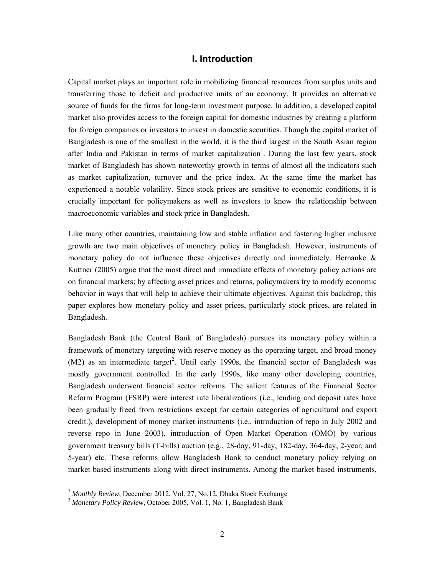#### **I. Introduction**

Capital market plays an important role in mobilizing financial resources from surplus units and transferring those to deficit and productive units of an economy. It provides an alternative source of funds for the firms for long-term investment purpose. In addition, a developed capital market also provides access to the foreign capital for domestic industries by creating a platform for foreign companies or investors to invest in domestic securities. Though the capital market of Bangladesh is one of the smallest in the world, it is the third largest in the South Asian region after India and Pakistan in terms of market capitalization<sup>1</sup>. During the last few years, stock market of Bangladesh has shown noteworthy growth in terms of almost all the indicators such as market capitalization, turnover and the price index. At the same time the market has experienced a notable volatility. Since stock prices are sensitive to economic conditions, it is crucially important for policymakers as well as investors to know the relationship between macroeconomic variables and stock price in Bangladesh.

Like many other countries, maintaining low and stable inflation and fostering higher inclusive growth are two main objectives of monetary policy in Bangladesh. However, instruments of monetary policy do not influence these objectives directly and immediately. Bernanke  $\&$ Kuttner (2005) argue that the most direct and immediate effects of monetary policy actions are on financial markets; by affecting asset prices and returns, policymakers try to modify economic behavior in ways that will help to achieve their ultimate objectives. Against this backdrop, this paper explores how monetary policy and asset prices, particularly stock prices, are related in Bangladesh.

Bangladesh Bank (the Central Bank of Bangladesh) pursues its monetary policy within a framework of monetary targeting with reserve money as the operating target, and broad money  $(M2)$  as an intermediate target<sup>2</sup>. Until early 1990s, the financial sector of Bangladesh was mostly government controlled. In the early 1990s, like many other developing countries, Bangladesh underwent financial sector reforms. The salient features of the Financial Sector Reform Program (FSRP) were interest rate liberalizations (i.e., lending and deposit rates have been gradually freed from restrictions except for certain categories of agricultural and export credit.), development of money market instruments (i.e., introduction of repo in July 2002 and reverse repo in June 2003), introduction of Open Market Operation (OMO) by various government treasury bills (T-bills) auction (e.g., 28-day, 91-day, 182-day, 364-day, 2-year, and 5-year) etc. These reforms allow Bangladesh Bank to conduct monetary policy relying on market based instruments along with direct instruments. Among the market based instruments,

<sup>1</sup> *Monthly Review*, December 2012, Vol. 27, No.12, Dhaka Stock Exchange

<sup>&</sup>lt;sup>2</sup> Monetary Policy Review, October 2005, Vol. 1, No. 1, Bangladesh Bank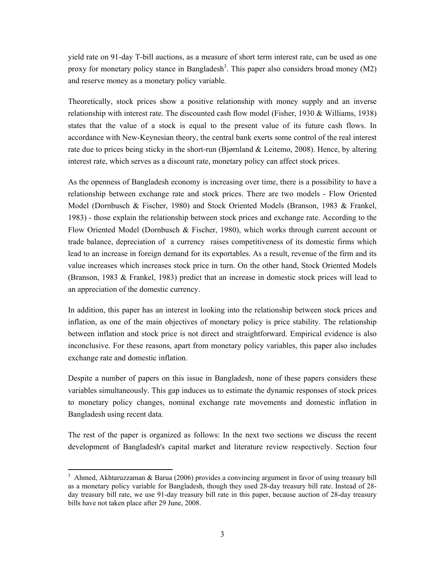yield rate on 91-day T-bill auctions, as a measure of short term interest rate, can be used as one proxy for monetary policy stance in Bangladesh<sup>3</sup>. This paper also considers broad money (M2) and reserve money as a monetary policy variable.

Theoretically, stock prices show a positive relationship with money supply and an inverse relationship with interest rate. The discounted cash flow model (Fisher, 1930 & Williams, 1938) states that the value of a stock is equal to the present value of its future cash flows. In accordance with New-Keynesian theory, the central bank exerts some control of the real interest rate due to prices being sticky in the short-run (Bjørnland & Leitemo, 2008). Hence, by altering interest rate, which serves as a discount rate, monetary policy can affect stock prices.

As the openness of Bangladesh economy is increasing over time, there is a possibility to have a relationship between exchange rate and stock prices. There are two models - Flow Oriented Model (Dornbusch & Fischer, 1980) and Stock Oriented Models (Branson, 1983 & Frankel, 1983) - those explain the relationship between stock prices and exchange rate. According to the Flow Oriented Model (Dornbusch & Fischer, 1980), which works through current account or trade balance, depreciation of a currency raises competitiveness of its domestic firms which lead to an increase in foreign demand for its exportables. As a result, revenue of the firm and its value increases which increases stock price in turn. On the other hand, Stock Oriented Models (Branson, 1983 & Frankel, 1983) predict that an increase in domestic stock prices will lead to an appreciation of the domestic currency.

In addition, this paper has an interest in looking into the relationship between stock prices and inflation, as one of the main objectives of monetary policy is price stability. The relationship between inflation and stock price is not direct and straightforward. Empirical evidence is also inconclusive. For these reasons, apart from monetary policy variables, this paper also includes exchange rate and domestic inflation.

Despite a number of papers on this issue in Bangladesh, none of these papers considers these variables simultaneously. This gap induces us to estimate the dynamic responses of stock prices to monetary policy changes, nominal exchange rate movements and domestic inflation in Bangladesh using recent data.

The rest of the paper is organized as follows: In the next two sections we discuss the recent development of Bangladesh's capital market and literature review respectively. Section four

<sup>&</sup>lt;sup>3</sup> Ahmed, Akhtaruzzaman & Barua (2006) provides a convincing argument in favor of using treasury bill as a monetary policy variable for Bangladesh, though they used 28-day treasury bill rate. Instead of 28 day treasury bill rate, we use 91-day treasury bill rate in this paper, because auction of 28-day treasury bills have not taken place after 29 June, 2008.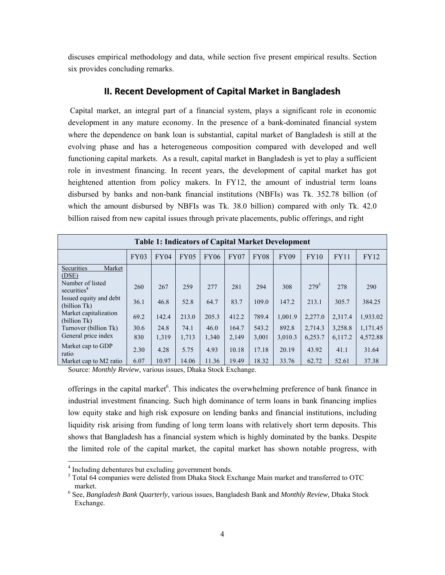discuses empirical methodology and data, while section five present empirical results. Section six provides concluding remarks.

#### **II. Recent Development of Capital Market in Bangladesh**

 Capital market, an integral part of a financial system, plays a significant role in economic development in any mature economy. In the presence of a bank-dominated financial system where the dependence on bank loan is substantial, capital market of Bangladesh is still at the evolving phase and has a heterogeneous composition compared with developed and well functioning capital markets. As a result, capital market in Bangladesh is yet to play a sufficient role in investment financing. In recent years, the development of capital market has got heightened attention from policy makers. In FY12, the amount of industrial term loans disbursed by banks and non-bank financial institutions (NBFIs) was Tk. 352.78 billion (of which the amount disbursed by NBFIs was Tk. 38.0 billion) compared with only Tk. 42.0 billion raised from new capital issues through private placements, public offerings, and right

| <b>Table 1: Indicators of Capital Market Development</b> |      |       |       |             |             |             |         |           |             |          |
|----------------------------------------------------------|------|-------|-------|-------------|-------------|-------------|---------|-----------|-------------|----------|
|                                                          | FY03 | FY04  | FY05  | <b>FY06</b> | <b>FY07</b> | <b>FY08</b> | FY09    | FY10      | <b>FY11</b> | FY12     |
| Securities<br>Market<br>(DSE)                            |      |       |       |             |             |             |         |           |             |          |
| Number of listed<br>securities <sup>4</sup>              | 260  | 267   | 259   | 277         | 281         | 294         | 308     | $279^{5}$ | 278         | 290      |
| Issued equity and debt<br>(billion Tk)                   | 36.1 | 46.8  | 52.8  | 64.7        | 83.7        | 109.0       | 147.2   | 213.1     | 305.7       | 384.25   |
| Market capitalization<br>(billion Tk)                    | 69.2 | 142.4 | 213.0 | 205.3       | 412.2       | 789.4       | 1,001.9 | 2,277.0   | 2,317.4     | 1,933.02 |
| Turnover (billion Tk)                                    | 30.6 | 24.8  | 74.1  | 46.0        | 164.7       | 543.2       | 892.8   | 2,714.3   | 3,258.8     | 1,171.45 |
| General price index                                      | 830  | 1,319 | 1,713 | 1,340       | 2,149       | 3,001       | 3,010.3 | 6,253.7   | 6,117.2     | 4,572.88 |
| Market cap to GDP<br>ratio                               | 2.30 | 4.28  | 5.75  | 4.93        | 10.18       | 17.18       | 20.19   | 43.92     | 41.1        | 31.64    |
| Market cap to M2 ratio                                   | 6.07 | 10.97 | 14.06 | 11.36       | 19.49       | 18.32       | 33.76   | 62.72     | 52.61       | 37.38    |

Source: *Monthly Review,* various issues, Dhaka Stock Exchange.

offerings in the capital market<sup>6</sup>. This indicates the overwhelming preference of bank finance in industrial investment financing. Such high dominance of term loans in bank financing implies low equity stake and high risk exposure on lending banks and financial institutions, including liquidity risk arising from funding of long term loans with relatively short term deposits. This shows that Bangladesh has a financial system which is highly dominated by the banks. Despite the limited role of the capital market, the capital market has shown notable progress, with

<sup>&</sup>lt;sup>4</sup> Including debentures but excluding government bonds.

<sup>&</sup>lt;sup>5</sup> Total 64 companies were delisted from Dhaka Stock Exchange Main market and transferred to OTC market.<br><sup>6</sup> See, *Bangladesh Bank Quarterly*, various issues, Bangladesh Bank and *Monthly Review*, Dhaka Stock

Exchange.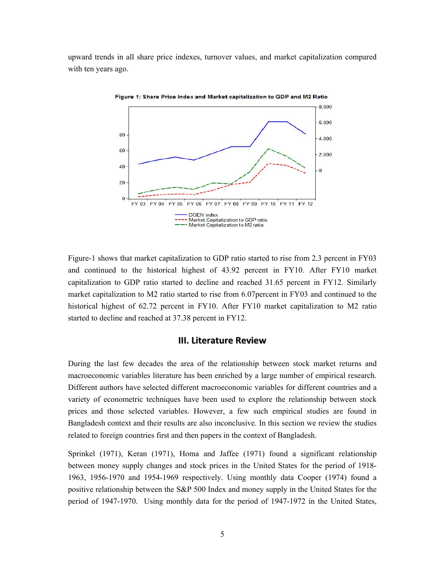upward trends in all share price indexes, turnover values, and market capitalization compared with ten years ago.



Figure 1: Share Price Index and Market capitalization to GDP and M2 Ratio

Figure-1 shows that market capitalization to GDP ratio started to rise from 2.3 percent in FY03 and continued to the historical highest of 43.92 percent in FY10. After FY10 market capitalization to GDP ratio started to decline and reached 31.65 percent in FY12. Similarly market capitalization to M2 ratio started to rise from 6.07percent in FY03 and continued to the historical highest of 62.72 percent in FY10. After FY10 market capitalization to M2 ratio started to decline and reached at 37.38 percent in FY12.

#### **III. Literature Review**

During the last few decades the area of the relationship between stock market returns and macroeconomic variables literature has been enriched by a large number of empirical research. Different authors have selected different macroeconomic variables for different countries and a variety of econometric techniques have been used to explore the relationship between stock prices and those selected variables. However, a few such empirical studies are found in Bangladesh context and their results are also inconclusive. In this section we review the studies related to foreign countries first and then papers in the context of Bangladesh.

Sprinkel (1971), Keran (1971), Homa and Jaffee (1971) found a significant relationship between money supply changes and stock prices in the United States for the period of 1918- 1963, 1956-1970 and 1954-1969 respectively. Using monthly data Cooper (1974) found a positive relationship between the S&P 500 Index and money supply in the United States for the period of 1947-1970. Using monthly data for the period of 1947-1972 in the United States,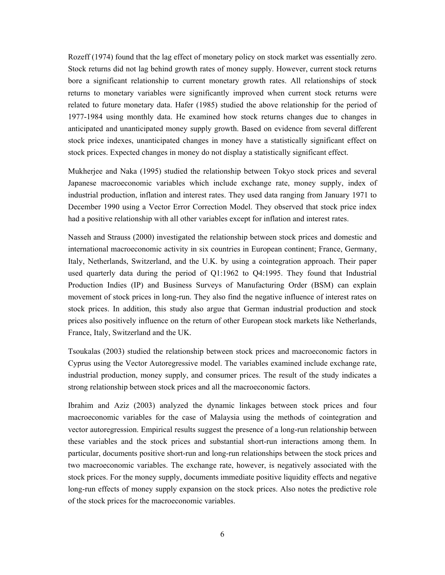Rozeff (1974) found that the lag effect of monetary policy on stock market was essentially zero. Stock returns did not lag behind growth rates of money supply. However, current stock returns bore a significant relationship to current monetary growth rates. All relationships of stock returns to monetary variables were significantly improved when current stock returns were related to future monetary data. Hafer (1985) studied the above relationship for the period of 1977-1984 using monthly data. He examined how stock returns changes due to changes in anticipated and unanticipated money supply growth. Based on evidence from several different stock price indexes, unanticipated changes in money have a statistically significant effect on stock prices. Expected changes in money do not display a statistically significant effect.

Mukherjee and Naka (1995) studied the relationship between Tokyo stock prices and several Japanese macroeconomic variables which include exchange rate, money supply, index of industrial production, inflation and interest rates. They used data ranging from January 1971 to December 1990 using a Vector Error Correction Model. They observed that stock price index had a positive relationship with all other variables except for inflation and interest rates.

Nasseh and Strauss (2000) investigated the relationship between stock prices and domestic and international macroeconomic activity in six countries in European continent; France, Germany, Italy, Netherlands, Switzerland, and the U.K. by using a cointegration approach. Their paper used quarterly data during the period of Q1:1962 to Q4:1995. They found that Industrial Production Indies (IP) and Business Surveys of Manufacturing Order (BSM) can explain movement of stock prices in long-run. They also find the negative influence of interest rates on stock prices. In addition, this study also argue that German industrial production and stock prices also positively influence on the return of other European stock markets like Netherlands, France, Italy, Switzerland and the UK.

Tsoukalas (2003) studied the relationship between stock prices and macroeconomic factors in Cyprus using the Vector Autoregressive model. The variables examined include exchange rate, industrial production, money supply, and consumer prices. The result of the study indicates a strong relationship between stock prices and all the macroeconomic factors.

Ibrahim and Aziz (2003) analyzed the dynamic linkages between stock prices and four macroeconomic variables for the case of Malaysia using the methods of cointegration and vector autoregression. Empirical results suggest the presence of a long-run relationship between these variables and the stock prices and substantial short-run interactions among them. In particular, documents positive short-run and long-run relationships between the stock prices and two macroeconomic variables. The exchange rate, however, is negatively associated with the stock prices. For the money supply, documents immediate positive liquidity effects and negative long-run effects of money supply expansion on the stock prices. Also notes the predictive role of the stock prices for the macroeconomic variables.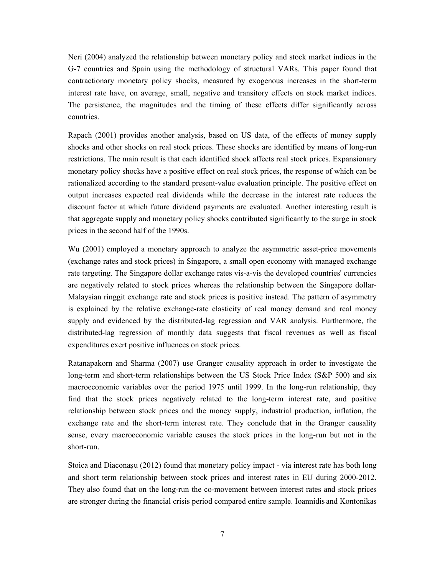Neri (2004) analyzed the relationship between monetary policy and stock market indices in the G-7 countries and Spain using the methodology of structural VARs. This paper found that contractionary monetary policy shocks, measured by exogenous increases in the short-term interest rate have, on average, small, negative and transitory effects on stock market indices. The persistence, the magnitudes and the timing of these effects differ significantly across countries.

Rapach (2001) provides another analysis, based on US data, of the effects of money supply shocks and other shocks on real stock prices. These shocks are identified by means of long-run restrictions. The main result is that each identified shock affects real stock prices. Expansionary monetary policy shocks have a positive effect on real stock prices, the response of which can be rationalized according to the standard present-value evaluation principle. The positive effect on output increases expected real dividends while the decrease in the interest rate reduces the discount factor at which future dividend payments are evaluated. Another interesting result is that aggregate supply and monetary policy shocks contributed significantly to the surge in stock prices in the second half of the 1990s.

Wu (2001) employed a monetary approach to analyze the asymmetric asset-price movements (exchange rates and stock prices) in Singapore, a small open economy with managed exchange rate targeting. The Singapore dollar exchange rates vis-a-vis the developed countries' currencies are negatively related to stock prices whereas the relationship between the Singapore dollar-Malaysian ringgit exchange rate and stock prices is positive instead. The pattern of asymmetry is explained by the relative exchange-rate elasticity of real money demand and real money supply and evidenced by the distributed-lag regression and VAR analysis. Furthermore, the distributed-lag regression of monthly data suggests that fiscal revenues as well as fiscal expenditures exert positive influences on stock prices.

Ratanapakorn and Sharma (2007) use Granger causality approach in order to investigate the long-term and short-term relationships between the US Stock Price Index (S&P 500) and six macroeconomic variables over the period 1975 until 1999. In the long-run relationship, they find that the stock prices negatively related to the long-term interest rate, and positive relationship between stock prices and the money supply, industrial production, inflation, the exchange rate and the short-term interest rate. They conclude that in the Granger causality sense, every macroeconomic variable causes the stock prices in the long-run but not in the short-run.

Stoica and Diaconașu (2012) found that monetary policy impact - via interest rate has both long and short term relationship between stock prices and interest rates in EU during 2000-2012. They also found that on the long-run the co-movement between interest rates and stock prices are stronger during the financial crisis period compared entire sample. Ioannidis and Kontonikas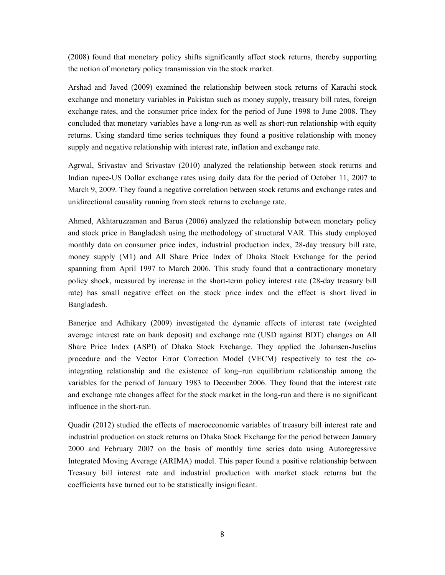(2008) found that monetary policy shifts significantly affect stock returns, thereby supporting the notion of monetary policy transmission via the stock market.

Arshad and Javed (2009) examined the relationship between stock returns of Karachi stock exchange and monetary variables in Pakistan such as money supply, treasury bill rates, foreign exchange rates, and the consumer price index for the period of June 1998 to June 2008. They concluded that monetary variables have a long-run as well as short-run relationship with equity returns. Using standard time series techniques they found a positive relationship with money supply and negative relationship with interest rate, inflation and exchange rate.

Agrwal, Srivastav and Srivastav (2010) analyzed the relationship between stock returns and Indian rupee-US Dollar exchange rates using daily data for the period of October 11, 2007 to March 9, 2009. They found a negative correlation between stock returns and exchange rates and unidirectional causality running from stock returns to exchange rate.

Ahmed, Akhtaruzzaman and Barua (2006) analyzed the relationship between monetary policy and stock price in Bangladesh using the methodology of structural VAR. This study employed monthly data on consumer price index, industrial production index, 28-day treasury bill rate, money supply (M1) and All Share Price Index of Dhaka Stock Exchange for the period spanning from April 1997 to March 2006. This study found that a contractionary monetary policy shock, measured by increase in the short-term policy interest rate (28-day treasury bill rate) has small negative effect on the stock price index and the effect is short lived in Bangladesh.

Banerjee and Adhikary (2009) investigated the dynamic effects of interest rate (weighted average interest rate on bank deposit) and exchange rate (USD against BDT) changes on All Share Price Index (ASPI) of Dhaka Stock Exchange. They applied the Johansen-Juselius procedure and the Vector Error Correction Model (VECM) respectively to test the cointegrating relationship and the existence of long–run equilibrium relationship among the variables for the period of January 1983 to December 2006. They found that the interest rate and exchange rate changes affect for the stock market in the long-run and there is no significant influence in the short-run.

Quadir (2012) studied the effects of macroeconomic variables of treasury bill interest rate and industrial production on stock returns on Dhaka Stock Exchange for the period between January 2000 and February 2007 on the basis of monthly time series data using Autoregressive Integrated Moving Average (ARIMA) model. This paper found a positive relationship between Treasury bill interest rate and industrial production with market stock returns but the coefficients have turned out to be statistically insignificant.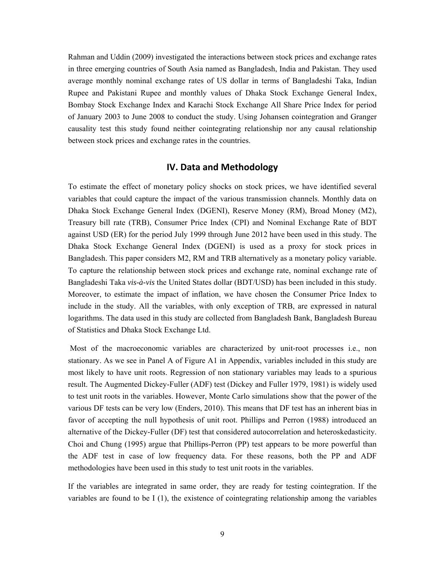Rahman and Uddin (2009) investigated the interactions between stock prices and exchange rates in three emerging countries of South Asia named as Bangladesh, India and Pakistan. They used average monthly nominal exchange rates of US dollar in terms of Bangladeshi Taka, Indian Rupee and Pakistani Rupee and monthly values of Dhaka Stock Exchange General Index, Bombay Stock Exchange Index and Karachi Stock Exchange All Share Price Index for period of January 2003 to June 2008 to conduct the study. Using Johansen cointegration and Granger causality test this study found neither cointegrating relationship nor any causal relationship between stock prices and exchange rates in the countries.

### **IV. Data and Methodology**

To estimate the effect of monetary policy shocks on stock prices, we have identified several variables that could capture the impact of the various transmission channels. Monthly data on Dhaka Stock Exchange General Index (DGENI), Reserve Money (RM), Broad Money (M2), Treasury bill rate (TRB), Consumer Price Index (CPI) and Nominal Exchange Rate of BDT against USD (ER) for the period July 1999 through June 2012 have been used in this study. The Dhaka Stock Exchange General Index (DGENI) is used as a proxy for stock prices in Bangladesh. This paper considers M2, RM and TRB alternatively as a monetary policy variable. To capture the relationship between stock prices and exchange rate, nominal exchange rate of Bangladeshi Taka *vis-à-vis* the United States dollar (BDT/USD) has been included in this study. Moreover, to estimate the impact of inflation, we have chosen the Consumer Price Index to include in the study. All the variables, with only exception of TRB, are expressed in natural logarithms. The data used in this study are collected from Bangladesh Bank, Bangladesh Bureau of Statistics and Dhaka Stock Exchange Ltd.

 Most of the macroeconomic variables are characterized by unit-root processes i.e., non stationary. As we see in Panel A of Figure A1 in Appendix, variables included in this study are most likely to have unit roots. Regression of non stationary variables may leads to a spurious result. The Augmented Dickey-Fuller (ADF) test (Dickey and Fuller 1979, 1981) is widely used to test unit roots in the variables. However, Monte Carlo simulations show that the power of the various DF tests can be very low (Enders, 2010). This means that DF test has an inherent bias in favor of accepting the null hypothesis of unit root. Phillips and Perron (1988) introduced an alternative of the Dickey-Fuller (DF) test that considered autocorrelation and heteroskedasticity. Choi and Chung (1995) argue that Phillips-Perron (PP) test appears to be more powerful than the ADF test in case of low frequency data. For these reasons, both the PP and ADF methodologies have been used in this study to test unit roots in the variables.

If the variables are integrated in same order, they are ready for testing cointegration. If the variables are found to be I (1), the existence of cointegrating relationship among the variables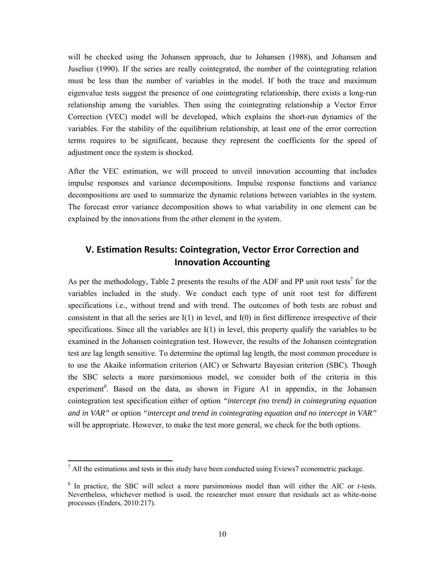will be checked using the Johansen approach, due to Johansen (1988), and Johansen and Juselius (1990). If the series are really cointegrated, the number of the cointegrating relation must be less than the number of variables in the model. If both the trace and maximum eigenvalue tests suggest the presence of one cointegrating relationship, there exists a long-run relationship among the variables. Then using the cointegrating relationship a Vector Error Correction (VEC) model will be developed, which explains the short-run dynamics of the variables. For the stability of the equilibrium relationship, at least one of the error correction terms requires to be significant, because they represent the coefficients for the speed of adjustment once the system is shocked.

After the VEC estimation, we will proceed to unveil innovation accounting that includes impulse responses and variance decompositions. Impulse response functions and variance decompositions are used to summarize the dynamic relations between variables in the system. The forecast error variance decomposition shows to what variability in one element can be explained by the innovations from the other element in the system.

## **V. Estimation Results: Cointegration, Vector Error Correction and Innovation Accounting**

As per the methodology, Table 2 presents the results of the ADF and PP unit root tests<sup>7</sup> for the variables included in the study. We conduct each type of unit root test for different specifications i.e., without trend and with trend. The outcomes of both tests are robust and consistent in that all the series are  $I(1)$  in level, and  $I(0)$  in first difference irrespective of their specifications. Since all the variables are  $I(1)$  in level, this property qualify the variables to be examined in the Johansen cointegration test. However, the results of the Johansen cointegration test are lag length sensitive. To determine the optimal lag length, the most common procedure is to use the Akaike information criterion (AIC) or Schwartz Bayesian criterion (SBC). Though the SBC selects a more parsimonious model, we consider both of the criteria in this experiment<sup>8</sup>. Based on the data, as shown in Figure A1 in appendix, in the Johansen cointegration test specification either of option *"intercept (no trend) in cointegrating equation and in VAR"* or option *"intercept and trend in cointegrating equation and no intercept in VAR"* will be appropriate. However, to make the test more general, we check for the both options.

 $<sup>7</sup>$  All the estimations and tests in this study have been conducted using Eviews7 econometric package.</sup>

<sup>8</sup> In practice, the SBC will select a more parsimonious model than will either the AIC or *t*-tests. Nevertheless, whichever method is used, the researcher must ensure that residuals act as white-noise processes (Enders, 2010:217).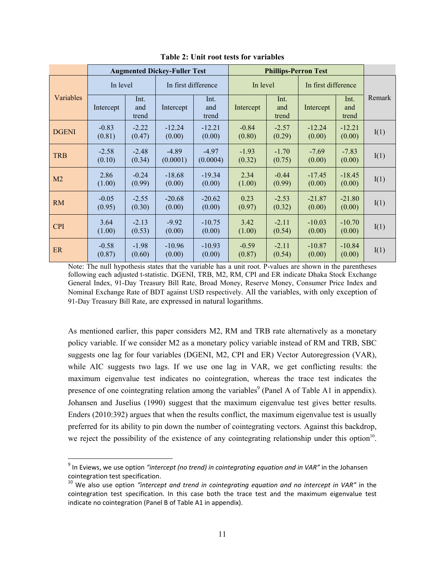|                |                   |                      | <b>Augmented Dickey-Fuller Test</b> |                      |                   | <b>Phillips-Perron Test</b> |                     |                      |        |
|----------------|-------------------|----------------------|-------------------------------------|----------------------|-------------------|-----------------------------|---------------------|----------------------|--------|
|                | In level          |                      | In first difference                 |                      | In level          |                             | In first difference |                      |        |
| Variables      | Intercept         | Int.<br>and<br>trend | Intercept                           | Int.<br>and<br>trend | Intercept         | Int.<br>and<br>trend        | Intercept           | Int.<br>and<br>trend | Remark |
| <b>DGENI</b>   | $-0.83$<br>(0.81) | $-2.22$<br>(0.47)    | $-12.24$<br>(0.00)                  | $-12.21$<br>(0.00)   | $-0.84$<br>(0.80) | $-2.57$<br>(0.29)           | $-12.24$<br>(0.00)  | $-12.21$<br>(0.00)   | I(1)   |
| <b>TRB</b>     | $-2.58$<br>(0.10) | $-2.48$<br>(0.34)    | $-4.89$<br>(0.0001)                 | $-4.97$<br>(0.0004)  | $-1.93$<br>(0.32) | $-1.70$<br>(0.75)           | $-7.69$<br>(0.00)   | $-7.83$<br>(0.00)    | I(1)   |
| M <sub>2</sub> | 2.86<br>(1.00)    | $-0.24$<br>(0.99)    | $-18.68$<br>(0.00)                  | $-19.34$<br>(0.00)   | 2.34<br>(1.00)    | $-0.44$<br>(0.99)           | $-17.45$<br>(0.00)  | $-18.45$<br>(0.00)   | I(1)   |
| <b>RM</b>      | $-0.05$<br>(0.95) | $-2.55$<br>(0.30)    | $-20.68$<br>(0.00)                  | $-20.62$<br>(0.00)   | 0.23<br>(0.97)    | $-2.53$<br>(0.32)           | $-21.87$<br>(0.00)  | $-21.80$<br>(0.00)   | I(1)   |
| <b>CPI</b>     | 3.64<br>(1.00)    | $-2.13$<br>(0.53)    | $-9.92$<br>(0.00)                   | $-10.75$<br>(0.00)   | 3.42<br>(1.00)    | $-2.11$<br>(0.54)           | $-10.03$<br>(0.00)  | $-10.70$<br>(0.00)   | I(1)   |
| ER             | $-0.58$<br>(0.87) | $-1.98$<br>(0.60)    | $-10.96$<br>(0.00)                  | $-10.93$<br>(0.00)   | $-0.59$<br>(0.87) | $-2.11$<br>(0.54)           | $-10.87$<br>(0.00)  | $-10.84$<br>(0.00)   | I(1)   |

**Table 2: Unit root tests for variables**

Note: The null hypothesis states that the variable has a unit root. P-values are shown in the parentheses following each adjusted t-statistic. DGENI, TRB, M2, RM, CPI and ER indicate Dhaka Stock Exchange General Index, 91-Day Treasury Bill Rate, Broad Money, Reserve Money, Consumer Price Index and Nominal Exchange Rate of BDT against USD respectively. All the variables, with only exception of 91-Day Treasury Bill Rate, are expressed in natural logarithms.

As mentioned earlier, this paper considers M2, RM and TRB rate alternatively as a monetary policy variable. If we consider M2 as a monetary policy variable instead of RM and TRB, SBC suggests one lag for four variables (DGENI, M2, CPI and ER) Vector Autoregression (VAR), while AIC suggests two lags. If we use one lag in VAR, we get conflicting results: the maximum eigenvalue test indicates no cointegration, whereas the trace test indicates the presence of one cointegrating relation among the variables<sup>9</sup> (Panel A of Table A1 in appendix). Johansen and Juselius (1990) suggest that the maximum eigenvalue test gives better results. Enders (2010:392) argues that when the results conflict, the maximum eigenvalue test is usually preferred for its ability to pin down the number of cointegrating vectors. Against this backdrop, we reject the possibility of the existence of any cointegrating relationship under this option<sup>10</sup>.

<sup>9</sup> In Eviews, we use option *"intercept (no trend) in cointegrating equation and in VAR"* in the Johansen cointegration test specification.<br><sup>10</sup> We also use option "intercept and trend in cointegrating equation and no intercept in VAR" in the

cointegration test specification. In this case both the trace test and the maximum eigenvalue test indicate no cointegration (Panel B of Table A1 in appendix).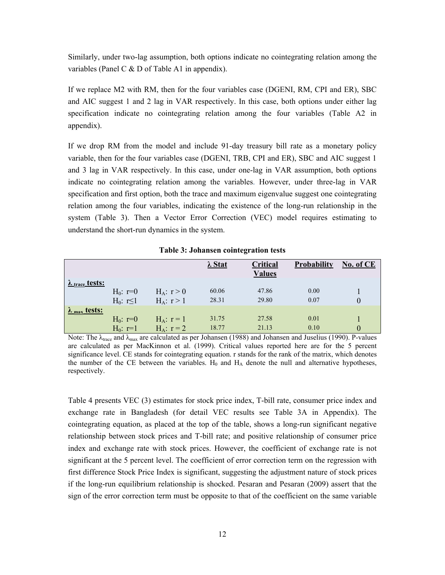Similarly, under two-lag assumption, both options indicate no cointegrating relation among the variables (Panel C  $&$  D of Table A1 in appendix).

If we replace M2 with RM, then for the four variables case (DGENI, RM, CPI and ER), SBC and AIC suggest 1 and 2 lag in VAR respectively. In this case, both options under either lag specification indicate no cointegrating relation among the four variables (Table A2 in appendix).

If we drop RM from the model and include 91-day treasury bill rate as a monetary policy variable, then for the four variables case (DGENI, TRB, CPI and ER), SBC and AIC suggest 1 and 3 lag in VAR respectively. In this case, under one-lag in VAR assumption, both options indicate no cointegrating relation among the variables. However, under three-lag in VAR specification and first option, both the trace and maximum eigenvalue suggest one cointegrating relation among the four variables, indicating the existence of the long-run relationship in the system (Table 3). Then a Vector Error Correction (VEC) model requires estimating to understand the short-run dynamics in the system.

|                                 |                 |                 | $\lambda$ Stat | Critical<br><b>Values</b> | Probability | No. of CE |
|---------------------------------|-----------------|-----------------|----------------|---------------------------|-------------|-----------|
| $\lambda$ trace tests:          |                 |                 |                |                           |             |           |
|                                 | $H_0: r=0$      | $H_A: r > 0$    | 60.06          | 47.86                     | 0.00        |           |
|                                 | $H_0: r \leq 1$ | $H_A: r > 1$    | 28.31          | 29.80                     | 0.07        | $\theta$  |
| $\lambda$ <sub>max</sub> tests: |                 |                 |                |                           |             |           |
|                                 | $H_0: r=0$      | $H_A$ : $r = 1$ | 31.75          | 27.58                     | 0.01        |           |
|                                 | $H_0: r=1$      | $H_A$ : $r = 2$ | 18.77          | 21.13                     | 0.10        | $\theta$  |

**Table 3: Johansen cointegration tests** 

Note: The  $\lambda_{\text{trace}}$  and  $\lambda_{\text{max}}$  are calculated as per Johansen (1988) and Johansen and Juselius (1990). P-values are calculated as per MacKinnon et al. (1999). Critical values reported here are for the 5 percent significance level. CE stands for cointegrating equation. r stands for the rank of the matrix, which denotes the number of the CE between the variables.  $H_0$  and  $H_A$  denote the null and alternative hypotheses, respectively.

Table 4 presents VEC (3) estimates for stock price index, T-bill rate, consumer price index and exchange rate in Bangladesh (for detail VEC results see Table 3A in Appendix). The cointegrating equation, as placed at the top of the table, shows a long-run significant negative relationship between stock prices and T-bill rate; and positive relationship of consumer price index and exchange rate with stock prices. However, the coefficient of exchange rate is not significant at the 5 percent level. The coefficient of error correction term on the regression with first difference Stock Price Index is significant, suggesting the adjustment nature of stock prices if the long-run equilibrium relationship is shocked. Pesaran and Pesaran (2009) assert that the sign of the error correction term must be opposite to that of the coefficient on the same variable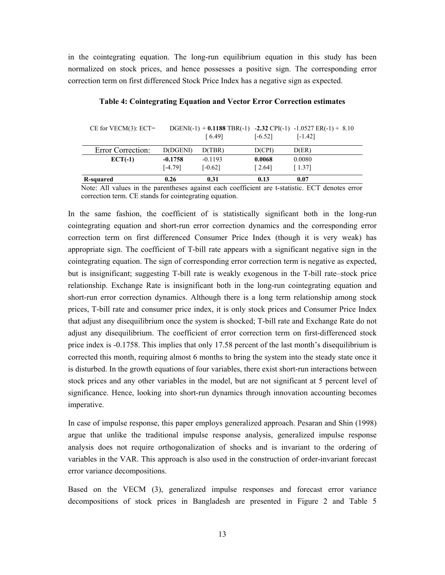in the cointegrating equation. The long-run equilibrium equation in this study has been normalized on stock prices, and hence possesses a positive sign. The corresponding error correction term on first differenced Stock Price Index has a negative sign as expected.

| R-squared                | 0.26      | 0.31      | 0.13      | 0.07                                                                   |
|--------------------------|-----------|-----------|-----------|------------------------------------------------------------------------|
|                          | $[-4.79]$ | $[-0.62]$ | [2.64]    | [1.37]                                                                 |
| $ECT(-1)$                | $-0.1758$ | $-0.1193$ | 0.0068    | 0.0080                                                                 |
| <b>Error Correction:</b> | D(DGENI)  | D(TBR)    | D(CPI)    | D(ER)                                                                  |
|                          |           | f 6.491   | $[-6.52]$ | $[-1.42]$                                                              |
| UE IUI VEUNIDI. EUI $=$  |           |           |           | DUENI(-1) $\pm$ 0.1100 1DN(-1) -2.32 CFI(-1) -1.032/ EN(-1) $\pm$ 0.10 |

**Table 4: Cointegrating Equation and Vector Error Correction estimates** 

CE for VECM(3): ECT= DGENI(-1) + **0.1188** TBR(-1) -**2.32** CPI(-1) -1.0527 ER(-1) + 8.10

Note: All values in the parentheses against each coefficient are t-statistic. ECT denotes error correction term. CE stands for cointegrating equation.

In the same fashion, the coefficient of is statistically significant both in the long-run cointegrating equation and short-run error correction dynamics and the corresponding error correction term on first differenced Consumer Price Index (though it is very weak) has appropriate sign. The coefficient of T-bill rate appears with a significant negative sign in the cointegrating equation. The sign of corresponding error correction term is negative as expected, but is insignificant; suggesting T-bill rate is weakly exogenous in the T-bill rate–stock price relationship. Exchange Rate is insignificant both in the long-run cointegrating equation and short-run error correction dynamics. Although there is a long term relationship among stock prices, T-bill rate and consumer price index, it is only stock prices and Consumer Price Index that adjust any disequilibrium once the system is shocked; T-bill rate and Exchange Rate do not adjust any disequilibrium. The coefficient of error correction term on first-differenced stock price index is -0.1758. This implies that only 17.58 percent of the last month's disequilibrium is corrected this month, requiring almost 6 months to bring the system into the steady state once it is disturbed. In the growth equations of four variables, there exist short-run interactions between stock prices and any other variables in the model, but are not significant at 5 percent level of significance. Hence, looking into short-run dynamics through innovation accounting becomes imperative.

In case of impulse response, this paper employs generalized approach. Pesaran and Shin (1998) argue that unlike the traditional impulse response analysis, generalized impulse response analysis does not require orthogonalization of shocks and is invariant to the ordering of variables in the VAR. This approach is also used in the construction of order-invariant forecast error variance decompositions.

Based on the VECM (3), generalized impulse responses and forecast error variance decompositions of stock prices in Bangladesh are presented in Figure 2 and Table 5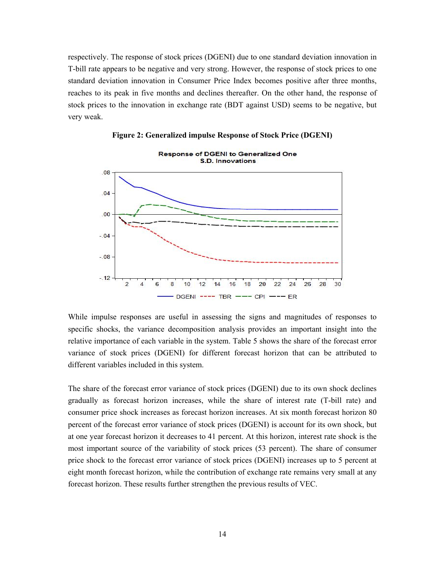respectively. The response of stock prices (DGENI) due to one standard deviation innovation in T-bill rate appears to be negative and very strong. However, the response of stock prices to one standard deviation innovation in Consumer Price Index becomes positive after three months, reaches to its peak in five months and declines thereafter. On the other hand, the response of stock prices to the innovation in exchange rate (BDT against USD) seems to be negative, but very weak.



**Figure 2: Generalized impulse Response of Stock Price (DGENI)**

While impulse responses are useful in assessing the signs and magnitudes of responses to specific shocks, the variance decomposition analysis provides an important insight into the relative importance of each variable in the system. Table 5 shows the share of the forecast error variance of stock prices (DGENI) for different forecast horizon that can be attributed to different variables included in this system.

The share of the forecast error variance of stock prices (DGENI) due to its own shock declines gradually as forecast horizon increases, while the share of interest rate (T-bill rate) and consumer price shock increases as forecast horizon increases. At six month forecast horizon 80 percent of the forecast error variance of stock prices (DGENI) is account for its own shock, but at one year forecast horizon it decreases to 41 percent. At this horizon, interest rate shock is the most important source of the variability of stock prices (53 percent). The share of consumer price shock to the forecast error variance of stock prices (DGENI) increases up to 5 percent at eight month forecast horizon, while the contribution of exchange rate remains very small at any forecast horizon. These results further strengthen the previous results of VEC.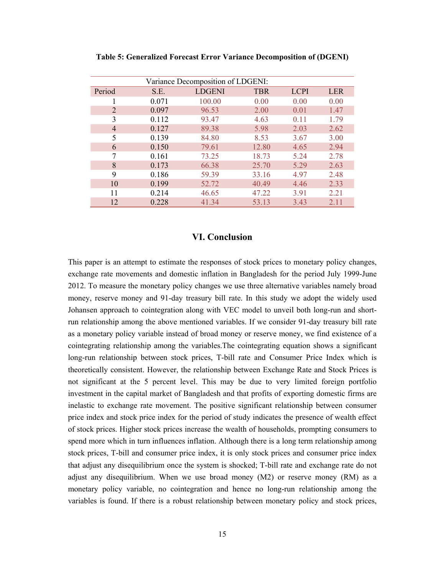|                       |       | Variance Decomposition of LDGENI: |            |             |            |
|-----------------------|-------|-----------------------------------|------------|-------------|------------|
| Period                | S.E.  | <b>LDGENI</b>                     | <b>TBR</b> | <b>LCPI</b> | <b>LER</b> |
|                       | 0.071 | 100.00                            | 0.00       | 0.00        | 0.00       |
| $\mathcal{D}_{\cdot}$ | 0.097 | 96.53                             | 2.00       | 0.01        | 1.47       |
| 3                     | 0.112 | 93.47                             | 4.63       | 0.11        | 1.79       |
| 4                     | 0.127 | 89.38                             | 5.98       | 2.03        | 2.62       |
| 5                     | 0.139 | 84.80                             | 8.53       | 3.67        | 3.00       |
| 6                     | 0.150 | 79.61                             | 12.80      | 4.65        | 2.94       |
| 7                     | 0.161 | 73.25                             | 18.73      | 5.24        | 2.78       |
| 8                     | 0.173 | 66.38                             | 25.70      | 5.29        | 2.63       |
| 9                     | 0.186 | 59.39                             | 33.16      | 4.97        | 2.48       |
| 10                    | 0.199 | 52.72                             | 40.49      | 4.46        | 2.33       |
| 11                    | 0.214 | 46.65                             | 47.22      | 3.91        | 2.21       |
| 12                    | 0.228 | 41.34                             | 53.13      | 3.43        | 2.11       |

**Table 5: Generalized Forecast Error Variance Decomposition of (DGENI)** 

#### **VI. Conclusion**

This paper is an attempt to estimate the responses of stock prices to monetary policy changes, exchange rate movements and domestic inflation in Bangladesh for the period July 1999-June 2012. To measure the monetary policy changes we use three alternative variables namely broad money, reserve money and 91-day treasury bill rate. In this study we adopt the widely used Johansen approach to cointegration along with VEC model to unveil both long-run and shortrun relationship among the above mentioned variables. If we consider 91-day treasury bill rate as a monetary policy variable instead of broad money or reserve money, we find existence of a cointegrating relationship among the variables.The cointegrating equation shows a significant long-run relationship between stock prices, T-bill rate and Consumer Price Index which is theoretically consistent. However, the relationship between Exchange Rate and Stock Prices is not significant at the 5 percent level. This may be due to very limited foreign portfolio investment in the capital market of Bangladesh and that profits of exporting domestic firms are inelastic to exchange rate movement. The positive significant relationship between consumer price index and stock price index for the period of study indicates the presence of wealth effect of stock prices. Higher stock prices increase the wealth of households, prompting consumers to spend more which in turn influences inflation. Although there is a long term relationship among stock prices, T-bill and consumer price index, it is only stock prices and consumer price index that adjust any disequilibrium once the system is shocked; T-bill rate and exchange rate do not adjust any disequilibrium. When we use broad money  $(M2)$  or reserve money  $(RM)$  as a monetary policy variable, no cointegration and hence no long-run relationship among the variables is found. If there is a robust relationship between monetary policy and stock prices,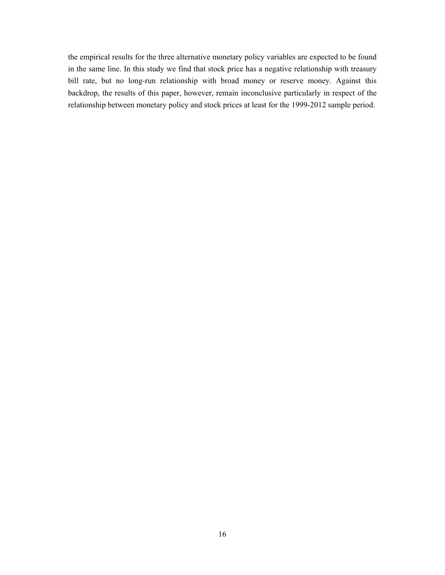the empirical results for the three alternative monetary policy variables are expected to be found in the same line. In this study we find that stock price has a negative relationship with treasury bill rate, but no long-run relationship with broad money or reserve money. Against this backdrop, the results of this paper, however, remain inconclusive particularly in respect of the relationship between monetary policy and stock prices at least for the 1999-2012 sample period.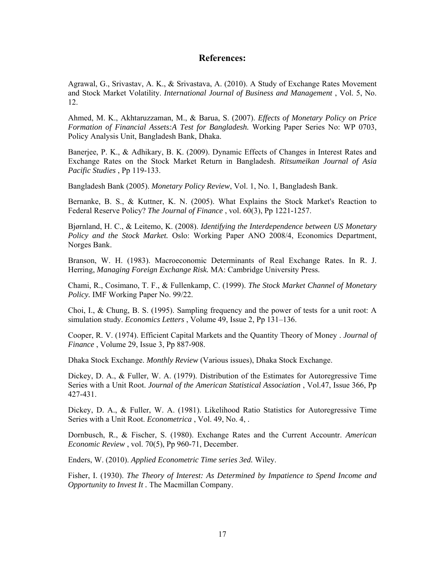#### **References:**

Agrawal, G., Srivastav, A. K., & Srivastava, A. (2010). A Study of Exchange Rates Movement and Stock Market Volatility. *International Journal of Business and Management* , Vol. 5, No. 12.

Ahmed, M. K., Akhtaruzzaman, M., & Barua, S. (2007). *Effects of Monetary Policy on Price Formation of Financial Assets:A Test for Bangladesh.* Working Paper Series No: WP 0703, Policy Analysis Unit, Bangladesh Bank, Dhaka.

Banerjee, P. K., & Adhikary, B. K. (2009). Dynamic Effects of Changes in Interest Rates and Exchange Rates on the Stock Market Return in Bangladesh. *Ritsumeikan Journal of Asia Pacific Studies* , Pp 119-133.

Bangladesh Bank (2005). *Monetary Policy Review*, Vol. 1, No. 1, Bangladesh Bank.

Bernanke, B. S., & Kuttner, K. N. (2005). What Explains the Stock Market's Reaction to Federal Reserve Policy? *The Journal of Finance* , vol. 60(3), Pp 1221-1257.

Bjørnland, H. C., & Leitemo, K. (2008). *Identifying the Interdependence between US Monetary Policy and the Stock Market.* Oslo: Working Paper ANO 2008/4, Economics Department, Norges Bank.

Branson, W. H. (1983). Macroeconomic Determinants of Real Exchange Rates. In R. J. Herring, *Managing Foreign Exchange Risk.* MA: Cambridge University Press.

Chami, R., Cosimano, T. F., & Fullenkamp, C. (1999). *The Stock Market Channel of Monetary Policy.* IMF Working Paper No. 99/22.

Choi, I., & Chung, B. S. (1995). Sampling frequency and the power of tests for a unit root: A simulation study. *Economics Letters* , Volume 49, Issue 2, Pp 131–136.

Cooper, R. V. (1974). Efficient Capital Markets and the Quantity Theory of Money . *Journal of Finance* , Volume 29, Issue 3, Pp 887-908.

Dhaka Stock Exchange. *Monthly Review* (Various issues), Dhaka Stock Exchange.

Dickey, D. A., & Fuller, W. A. (1979). Distribution of the Estimates for Autoregressive Time Series with a Unit Root. *Journal of the American Statistical Association* , Vol.47, Issue 366, Pp 427-431.

Dickey, D. A., & Fuller, W. A. (1981). Likelihood Ratio Statistics for Autoregressive Time Series with a Unit Root. *Econometrica* , Vol. 49, No. 4, .

Dornbusch, R., & Fischer, S. (1980). Exchange Rates and the Current Accountr. *American Economic Review* , vol. 70(5), Pp 960-71, December.

Enders, W. (2010). *Applied Econometric Time series 3ed.* Wiley.

Fisher, I. (1930). *The Theory of Interest: As Determined by Impatience to Spend Income and Opportunity to Invest It .* The Macmillan Company.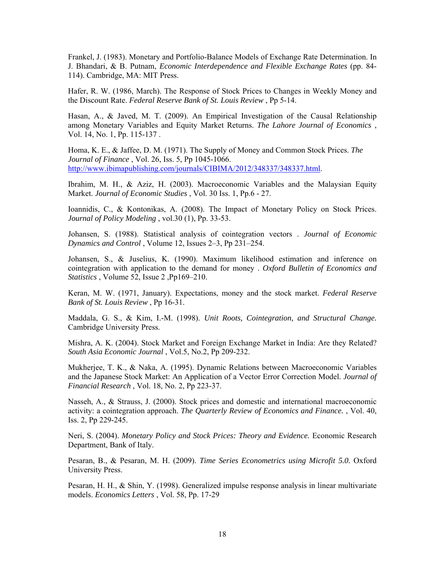Frankel, J. (1983). Monetary and Portfolio-Balance Models of Exchange Rate Determination. In J. Bhandari, & B. Putnam, *Economic Interdependence and Flexible Exchange Rates* (pp. 84- 114). Cambridge, MA: MIT Press.

Hafer, R. W. (1986, March). The Response of Stock Prices to Changes in Weekly Money and the Discount Rate. *Federal Reserve Bank of St. Louis Review* , Pp 5-14.

Hasan, A., & Javed, M. T. (2009). An Empirical Investigation of the Causal Relationship among Monetary Variables and Equity Market Returns. *The Lahore Journal of Economics* , Vol. 14, No. 1, Pp. 115-137 .

Homa, K. E., & Jaffee, D. M. (1971). The Supply of Money and Common Stock Prices. *The Journal of Finance* , Vol. 26, Iss. 5, Pp 1045-1066. http://www.ibimapublishing.com/journals/CIBIMA/2012/348337/348337.html.

Ibrahim, M. H., & Aziz, H. (2003). Macroeconomic Variables and the Malaysian Equity Market. *Journal of Economic Studies* , Vol. 30 Iss. 1, Pp.6 - 27.

Ioannidis, C., & Kontonikas, A. (2008). The Impact of Monetary Policy on Stock Prices. *Journal of Policy Modeling* , vol.30 (1), Pp. 33-53.

Johansen, S. (1988). Statistical analysis of cointegration vectors . *Journal of Economic Dynamics and Control* , Volume 12, Issues 2–3, Pp 231–254.

Johansen, S., & Juselius, K. (1990). Maximum likelihood estimation and inference on cointegration with application to the demand for money . *Oxford Bulletin of Economics and Statistics* , Volume 52, Issue 2 ,Pp169–210.

Keran, M. W. (1971, January). Expectations, money and the stock market. *Federal Reserve Bank of St. Louis Review* , Pp 16-31.

Maddala, G. S., & Kim, I.-M. (1998). *Unit Roots, Cointegration, and Structural Change.* Cambridge University Press.

Mishra, A. K. (2004). Stock Market and Foreign Exchange Market in India: Are they Related? *South Asia Economic Journal* , Vol.5, No.2, Pp 209-232.

Mukherjee, T. K., & Naka, A. (1995). Dynamic Relations between Macroeconomic Variables and the Japanese Stock Market: An Application of a Vector Error Correction Model. *Journal of Financial Research* , Vol. 18, No. 2, Pp 223-37.

Nasseh, A., & Strauss, J. (2000). Stock prices and domestic and international macroeconomic activity: a cointegration approach. *The Quarterly Review of Economics and Finance.* , Vol. 40, Iss. 2, Pp 229-245.

Neri, S. (2004). *Monetary Policy and Stock Prices: Theory and Evidence.* Economic Research Department, Bank of Italy.

Pesaran, B., & Pesaran, M. H. (2009). *Time Series Econometrics using Microfit 5.0.* Oxford University Press.

Pesaran, H. H., & Shin, Y. (1998). Generalized impulse response analysis in linear multivariate models. *Economics Letters* , Vol. 58, Pp. 17-29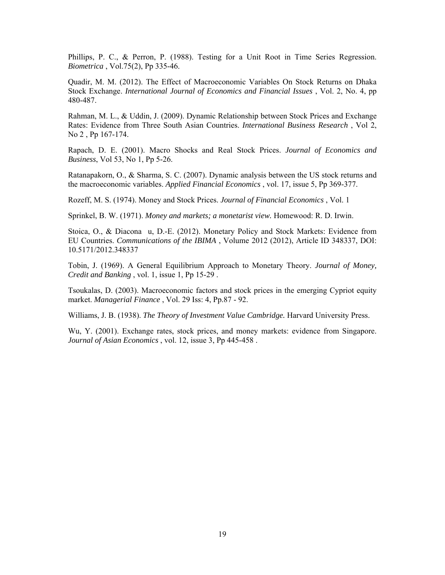Phillips, P. C., & Perron, P. (1988). Testing for a Unit Root in Time Series Regression. *Biometrica* , Vol.75(2), Pp 335-46.

Quadir, M. M. (2012). The Effect of Macroeconomic Variables On Stock Returns on Dhaka Stock Exchange. *International Journal of Economics and Financial Issues* , Vol. 2, No. 4, pp 480-487.

Rahman, M. L., & Uddin, J. (2009). Dynamic Relationship between Stock Prices and Exchange Rates: Evidence from Three South Asian Countries. *International Business Research* , Vol 2, No 2 , Pp 167-174.

Rapach, D. E. (2001). Macro Shocks and Real Stock Prices. *Journal of Economics and Business*, Vol 53, No 1, Pp 5-26.

Ratanapakorn, O., & Sharma, S. C. (2007). Dynamic analysis between the US stock returns and the macroeconomic variables. *Applied Financial Economics* , vol. 17, issue 5, Pp 369-377.

Rozeff, M. S. (1974). Money and Stock Prices. *Journal of Financial Economics* , Vol. 1

Sprinkel, B. W. (1971). *Money and markets; a monetarist view.* Homewood: R. D. Irwin.

Stoica, O., & Diacona u, D.-E. (2012). Monetary Policy and Stock Markets: Evidence from EU Countries. *Communications of the IBIMA* , Volume 2012 (2012), Article ID 348337, DOI: 10.5171/2012.348337

Tobin, J. (1969). A General Equilibrium Approach to Monetary Theory. *Journal of Money, Credit and Banking* , vol. 1, issue 1, Pp 15-29 .

Tsoukalas, D. (2003). Macroeconomic factors and stock prices in the emerging Cypriot equity market. *Managerial Finance* , Vol. 29 Iss: 4, Pp.87 - 92.

Williams, J. B. (1938). *The Theory of Investment Value Cambridge.* Harvard University Press.

Wu, Y. (2001). Exchange rates, stock prices, and money markets: evidence from Singapore. *Journal of Asian Economics* , vol. 12, issue 3, Pp 445-458 .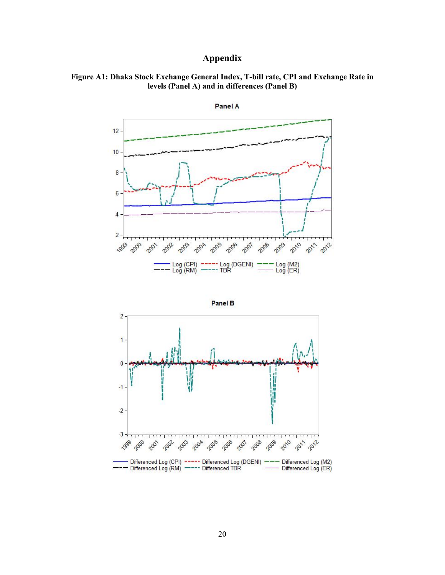# **Appendix**









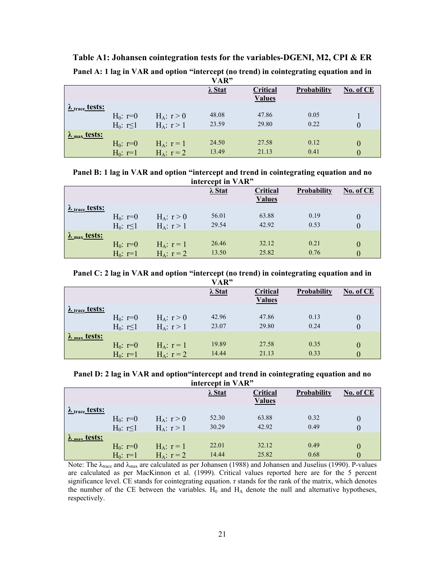|                                   |                 |                 | VAR"           |               |             |           |
|-----------------------------------|-----------------|-----------------|----------------|---------------|-------------|-----------|
|                                   |                 |                 | $\lambda$ Stat | Critical      | Probability | No. of CE |
|                                   |                 |                 |                | <b>Values</b> |             |           |
| $\lambda$ <sub>trace</sub> tests: |                 |                 |                |               |             |           |
|                                   | $H_0: r=0$      | $H_A: r > 0$    | 48.08          | 47.86         | 0.05        |           |
|                                   | $H_0: r \leq 1$ | $H_A: r > 1$    | 23.59          | 29.80         | 0.22        | 0         |
| $\lambda$ <sub>max</sub> tests:   |                 |                 |                |               |             |           |
|                                   | $H_0: r=0$      | $H_A$ : $r = 1$ | 24.50          | 27.58         | 0.12        | 0         |
|                                   | $H_0: r=1$      | $H_A: r = 2$    | 13.49          | 21.13         | 0.41        | 0         |

**Table A1: Johansen cointegration tests for the variables-DGENI, M2, CPI & ER** 

| Panel A: 1 lag in VAR and option "intercept (no trend) in cointegrating equation and in |  |  |
|-----------------------------------------------------------------------------------------|--|--|
|                                                                                         |  |  |

| Panel B: 1 lag in VAR and option "intercept and trend in cointegrating equation and no |                   |  |  |
|----------------------------------------------------------------------------------------|-------------------|--|--|
|                                                                                        | intercept in VAR" |  |  |

|                                 |                               |                                 | $\lambda$ Stat | Critical<br><b>Values</b> | Probability  | No. of CE            |
|---------------------------------|-------------------------------|---------------------------------|----------------|---------------------------|--------------|----------------------|
| $\lambda$ trace tests:          | $H_0: r=0$<br>$H_0: r \leq 1$ | $H_A: r > 0$<br>$H_A: r > 1$    | 56.01<br>29.54 | 63.88<br>42.92            | 0.19<br>0.53 | $\theta$<br>$\Omega$ |
| $\lambda$ <sub>max</sub> tests: | $H_0: r=0$<br>$H_0: r=1$      | $H_A$ : $r = 1$<br>$H_A: r = 2$ | 26.46<br>13.50 | 32.12<br>25.82            | 0.21<br>0.76 | $\Omega$             |

**Panel C: 2 lag in VAR and option "intercept (no trend) in cointegrating equation and in** 

|                                   |                             |                 | VAR"           |               |             |           |
|-----------------------------------|-----------------------------|-----------------|----------------|---------------|-------------|-----------|
|                                   |                             |                 | $\lambda$ Stat | Critical      | Probability | No. of CE |
|                                   |                             |                 |                | <b>Values</b> |             |           |
| $\lambda$ <sub>trace</sub> tests: |                             |                 |                |               |             |           |
|                                   | $H_0: r=0$                  | $H_A: r > 0$    | 42.96          | 47.86         | 0.13        |           |
|                                   | H <sub>0</sub> : $r \leq 1$ | $H_A: r > 1$    | 23.07          | 29.80         | 0.24        |           |
| $\lambda$ <sub>max</sub> tests:   |                             |                 |                |               |             |           |
|                                   | $H_0: r=0$                  | $H_A$ : $r = 1$ | 19.89          | 27.58         | 0.35        |           |
|                                   | $H_0: r=1$                  | $H_A: r = 2$    | 14.44          | 21.13         | 0.33        |           |

**Panel D: 2 lag in VAR and option"intercept and trend in cointegrating equation and no intercept in VAR"** 

|                                 |                               |                                    | $\lambda$ Stat | Critical<br><b>Values</b> | <b>Probability</b> | No. of CE     |
|---------------------------------|-------------------------------|------------------------------------|----------------|---------------------------|--------------------|---------------|
| $\lambda$ trace tests:          | $H_0: r=0$<br>$H_0: r \leq 1$ | $H_A: r > 0$<br>$H_A: r > 1$       | 52.30<br>30.29 | 63.88<br>42.92            | 0.32<br>0.49       |               |
| $\lambda$ <sub>max</sub> tests: | $H_0: r=0$<br>$H_0: r=1$      | $H_A$ : $r = 1$<br>$H_A$ : $r = 2$ | 22.01<br>14.44 | 32.12<br>25.82            | 0.49<br>0.68       | 0<br>$\theta$ |

Note: The  $\lambda_{\text{trace}}$  and  $\lambda_{\text{max}}$  are calculated as per Johansen (1988) and Johansen and Juselius (1990). P-values are calculated as per MacKinnon et al. (1999). Critical values reported here are for the 5 percent significance level. CE stands for cointegrating equation. r stands for the rank of the matrix, which denotes the number of the CE between the variables.  $H_0$  and  $H_A$  denote the null and alternative hypotheses, respectively.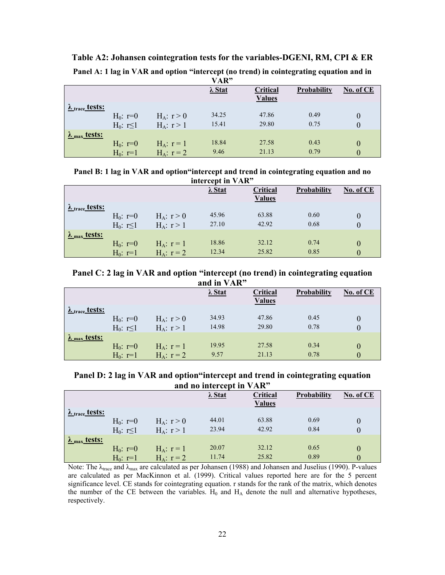|                                   |                 |                 | VAR"           |               |             |                |
|-----------------------------------|-----------------|-----------------|----------------|---------------|-------------|----------------|
|                                   |                 |                 | $\lambda$ Stat | Critical      | Probability | No. of CE      |
|                                   |                 |                 |                | <b>Values</b> |             |                |
| $\lambda$ <sub>trace</sub> tests: |                 |                 |                |               |             |                |
|                                   | $H_0: r=0$      | $H_A: r > 0$    | 34.25          | 47.86         | 0.49        | 0              |
|                                   | $H_0: r \leq 1$ | $H_A: r > 1$    | 15.41          | 29.80         | 0.75        | $\overline{0}$ |
| $\lambda$ <sub>max</sub> tests:   |                 |                 |                |               |             |                |
|                                   | $H_0: r=0$      | $H_A$ : $r = 1$ | 18.84          | 27.58         | 0.43        | 0              |
|                                   | $H_0$ : r=1     | $H_A: r = 2$    | 9.46           | 21.13         | 0.79        | 0              |

**Table A2: Johansen cointegration tests for the variables-DGENI, RM, CPI & ER** 

|  |  |  |  |  |  | Panel A: 1 lag in VAR and option "intercept (no trend) in cointegrating equation and in |
|--|--|--|--|--|--|-----------------------------------------------------------------------------------------|
|--|--|--|--|--|--|-----------------------------------------------------------------------------------------|

|  | Panel B: 1 lag in VAR and option "intercept and trend in cointegrating equation and no                                                                                                                                                                                                                              |  |
|--|---------------------------------------------------------------------------------------------------------------------------------------------------------------------------------------------------------------------------------------------------------------------------------------------------------------------|--|
|  | $\frac{1}{2}$ $\frac{1}{2}$ $\frac{1}{2}$ $\frac{1}{2}$ $\frac{1}{2}$ $\frac{1}{2}$ $\frac{1}{2}$ $\frac{1}{2}$ $\frac{1}{2}$ $\frac{1}{2}$ $\frac{1}{2}$ $\frac{1}{2}$ $\frac{1}{2}$ $\frac{1}{2}$ $\frac{1}{2}$ $\frac{1}{2}$ $\frac{1}{2}$ $\frac{1}{2}$ $\frac{1}{2}$ $\frac{1}{2}$ $\frac{1}{2}$ $\frac{1}{2}$ |  |

| intercept in VAR"               |                 |                 |                |               |                    |           |  |  |
|---------------------------------|-----------------|-----------------|----------------|---------------|--------------------|-----------|--|--|
|                                 |                 |                 | $\lambda$ Stat | Critical      | <b>Probability</b> | No. of CE |  |  |
|                                 |                 |                 |                | <b>Values</b> |                    |           |  |  |
| $\lambda$ trace tests:          |                 |                 |                |               |                    |           |  |  |
|                                 | $H_0: r=0$      | $H_A: r > 0$    | 45.96          | 63.88         | 0.60               | $\theta$  |  |  |
|                                 | $H_0: r \leq 1$ | $H_A: r > 1$    | 27.10          | 42.92         | 0.68               | $\theta$  |  |  |
| $\lambda$ <sub>max</sub> tests: |                 |                 |                |               |                    |           |  |  |
|                                 | $H_0: r=0$      | $H_A$ : $r = 1$ | 18.86          | 32.12         | 0.74               | $\theta$  |  |  |
|                                 | $H_0$ : r=1     | $H_A$ : $r = 2$ | 12.34          | 25.82         | 0.85               | 0         |  |  |

**Panel C: 2 lag in VAR and option "intercept (no trend) in cointegrating equation and in VAR"** 

|                                   |                 |                 | $\lambda$ Stat | Critical<br><b>Values</b> | Probability | No. of CE |
|-----------------------------------|-----------------|-----------------|----------------|---------------------------|-------------|-----------|
| $\lambda$ <sub>trace</sub> tests: | $H_0: r=0$      | $H_A: r > 0$    | 34.93          | 47.86                     | 0.45        | $\theta$  |
|                                   | $H_0: r \leq 1$ | $H_A$ : $r > 1$ | 14.98          | 29.80                     | 0.78        | $\theta$  |
| $\lambda$ <sub>max</sub> tests:   | $H_0: r=0$      | $H_A$ : $r = 1$ | 19.95          | 27.58                     | 0.34        | $\theta$  |
|                                   | $H_0: r=1$      | $H_A$ : $r = 2$ | 9.57           | 21.13                     | 0.78        | $\theta$  |

**Panel D: 2 lag in VAR and option"intercept and trend in cointegrating equation and no intercept in VAR"** 

|                                 |                 |                 | $\lambda$ Stat | Critical      | <b>Probability</b> | No. of CE |
|---------------------------------|-----------------|-----------------|----------------|---------------|--------------------|-----------|
|                                 |                 |                 |                | <b>Values</b> |                    |           |
| $\lambda$ trace tests:          |                 |                 |                |               |                    |           |
|                                 | $H_0: r=0$      | $H_A: r > 0$    | 44.01          | 63.88         | 0.69               | $\theta$  |
|                                 | $H_0: r \leq 1$ | $H_A: r > 1$    | 23.94          | 42.92         | 0.84               | 0         |
| $\lambda$ <sub>max</sub> tests: |                 |                 |                |               |                    |           |
|                                 | $H_0: r=0$      | $H_A$ : $r = 1$ | 20.07          | 32.12         | 0.65               | 0         |
|                                 | $H_0: r=1$      | $H_A: r = 2$    | 11.74          | 25.82         | 0.89               | 0         |

Note: The  $\lambda_{\text{trace}}$  and  $\lambda_{\text{max}}$  are calculated as per Johansen (1988) and Johansen and Juselius (1990). P-values are calculated as per MacKinnon et al. (1999). Critical values reported here are for the 5 percent significance level. CE stands for cointegrating equation. r stands for the rank of the matrix, which denotes the number of the CE between the variables.  $H_0$  and  $H_A$  denote the null and alternative hypotheses, respectively.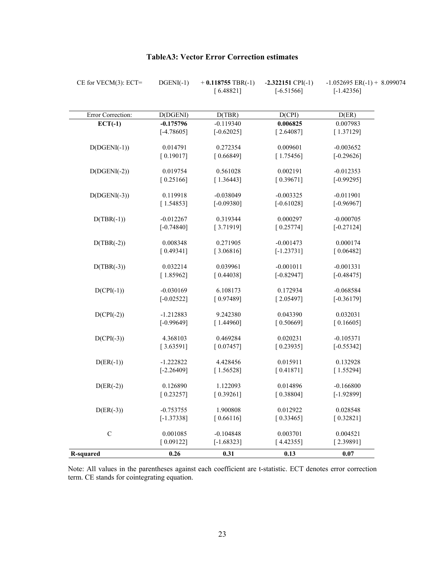| $CE$ for $VECM(3)$ : $ECT=$ | $DGENI(-1)$  | $+$ 0.118755 TBR(-1) | $-2.322151$ CPI( $-1$ ) | $-1.052695$ ER( $-1$ ) + 8.099074 |
|-----------------------------|--------------|----------------------|-------------------------|-----------------------------------|
|                             |              | [6.48821]            | $[-6.51566]$            | $[-1.42356]$                      |
| Error Correction:           | D(DGENI)     | D(TBR)               | D(CPI)                  | D(ER)                             |
| $ECT(-1)$                   | $-0.175796$  | $-0.119340$          | 0.006825                | 0.007983                          |
|                             | $[-4.78605]$ | $[-0.62025]$         | [2.64087]               | [1.37129]                         |
| $D(DGENI(-1))$              | 0.014791     | 0.272354             | 0.009601                | $-0.003652$                       |
|                             | [0.19017]    | [0.66849]            | [1.75456]               | $[-0.29626]$                      |
| $D(DGENI(-2))$              | 0.019754     | 0.561028             | 0.002191                | $-0.012353$                       |
|                             | [0.25166]    | [1.36443]            | [0.39671]               | $[-0.99295]$                      |
| $D(DGENI(-3))$              | 0.119918     | $-0.038049$          | $-0.003325$             | $-0.011901$                       |
|                             | [1.54853]    | $[-0.09380]$         | $[-0.61028]$            | $[-0.96967]$                      |
| $D(TBR(-1))$                | $-0.012267$  | 0.319344             | 0.000297                | $-0.000705$                       |
|                             | $[-0.74840]$ | [3.71919]            | [0.25774]               | $[-0.27124]$                      |
| $D(TBR(-2))$                | 0.008348     | 0.271905             | $-0.001473$             | 0.000174                          |
|                             | [0.49341]    | [3.06816]            | $[-1.23731]$            | [0.06482]                         |
| $D(TBR(-3))$                | 0.032214     | 0.039961             | $-0.001011$             | $-0.001331$                       |
|                             | [1.85962]    | [0.44038]            | $[-0.82947]$            | $[-0.48475]$                      |
| $D(CPI(-1))$                | $-0.030169$  | 6.108173             | 0.172934                | $-0.068584$                       |
|                             | $[-0.02522]$ | [0.97489]            | [2.05497]               | $[-0.36179]$                      |
| $D(CPI(-2))$                | $-1.212883$  | 9.242380             | 0.043390                | 0.032031                          |
|                             | $[-0.99649]$ | [1.44960]            | [0.50669]               | [0.16605]                         |
| $D(CPI(-3))$                | 4.368103     | 0.469284             | 0.020231                | $-0.105371$                       |
|                             | [3.63591]    | [0.07457]            | [0.23935]               | $[-0.55342]$                      |
| $D(ER(-1))$                 | $-1.222822$  | 4.428456             | 0.015911                | 0.132928                          |
|                             | $[-2.26409]$ | [1.56528]            | [0.41871]               | [1.55294]                         |
| $D(ER(-2))$                 | 0.126890     | 1.122093             | 0.014896                | $-0.166800$                       |
|                             | [0.23257]    | [0.39261]            | [0.38804]               | $[-1.92899]$                      |
| $D(ER(-3))$                 | $-0.753755$  | 1.900808             | 0.012922                | 0.028548                          |
|                             | $[-1.37338]$ | [0.66116]            | [0.33465]               | [0.32821]                         |
| $\mathsf C$                 | 0.001085     | $-0.104848$          | 0.003701                | 0.004521                          |
|                             | [0.09122]    | $[-1.68323]$         | [4.42355]               | [2.39891]                         |
| <b>R-squared</b>            | 0.26         | 0.31                 | 0.13                    | 0.07                              |

## **TableA3: Vector Error Correction estimates**

Note: All values in the parentheses against each coefficient are t-statistic. ECT denotes error correction term. CE stands for cointegrating equation.